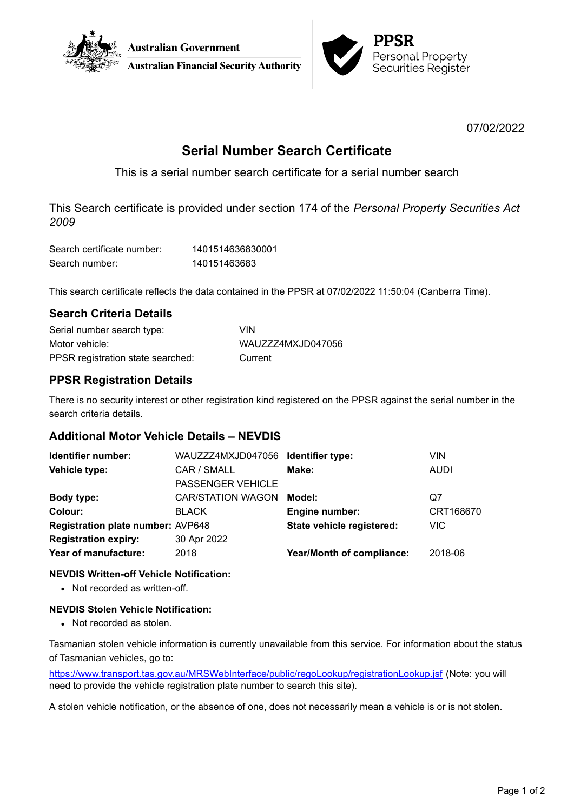



07/02/2022

# **Serial Number Search Certificate**

This is a serial number search certificate for a serial number search

This Search certificate is provided under section 174 of the *Personal Property Securities Act 2009*

| Search certificate number: | 1401514636830001 |
|----------------------------|------------------|
| Search number:             | 140151463683     |

This search certificate reflects the data contained in the PPSR at 07/02/2022 11:50:04 (Canberra Time).

### **Search Criteria Details**

| Serial number search type:        | <b>VIN</b>        |
|-----------------------------------|-------------------|
| Motor vehicle:                    | WAUZZZ4MXJD047056 |
| PPSR registration state searched: | Current           |

## **PPSR Registration Details**

There is no security interest or other registration kind registered on the PPSR against the serial number in the search criteria details.

### **Additional Motor Vehicle Details – NEVDIS**

| Identifier number:                       | WAUZZZ4MXJD047056 Identifier type: |                           | VIN         |
|------------------------------------------|------------------------------------|---------------------------|-------------|
| Vehicle type:                            | CAR / SMALL                        | Make:                     | <b>AUDI</b> |
|                                          | <b>PASSENGER VEHICLE</b>           |                           |             |
| Body type:                               | <b>CAR/STATION WAGON</b>           | Model:                    | Q7          |
| Colour:                                  | <b>BLACK</b>                       | Engine number:            | CRT168670   |
| <b>Registration plate number: AVP648</b> |                                    | State vehicle registered: | <b>VIC</b>  |
| <b>Registration expiry:</b>              | 30 Apr 2022                        |                           |             |
| Year of manufacture:                     | 2018                               | Year/Month of compliance: | 2018-06     |
|                                          |                                    |                           |             |

### **NEVDIS Written-off Vehicle Notification:**

• Not recorded as written-off.

### **NEVDIS Stolen Vehicle Notification:**

• Not recorded as stolen.

Tasmanian stolen vehicle information is currently unavailable from this service. For information about the status of Tasmanian vehicles, go to:

<https://www.transport.tas.gov.au/MRSWebInterface/public/regoLookup/registrationLookup.jsf> (Note: you will need to provide the vehicle registration plate number to search this site).

A stolen vehicle notification, or the absence of one, does not necessarily mean a vehicle is or is not stolen.